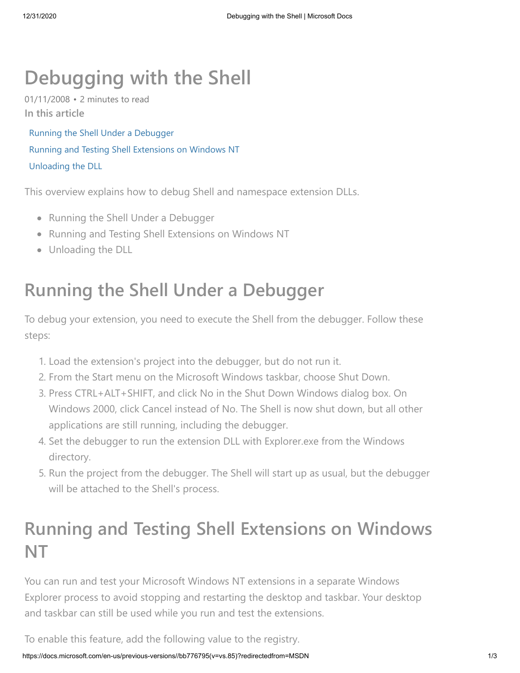# **Debugging with the Shell**

01/11/2008 • 2 minutes to read **In this article**

Running the Shell Under a Debugger Running and Testing Shell Extensions on Windows NT Unloading the DLL

This overview explains how to debug Shell and namespace extension DLLs.

- Running the Shell Under a Debugger
- Running and Testing Shell Extensions on Windows NT
- Unloading the DLL

## **Running the Shell Under a Debugger**

To debug your extension, you need to execute the Shell from the debugger. Follow these steps:

- 1. Load the extension's project into the debugger, but do not run it.
- 2. From the Start menu on the Microsoft Windows taskbar, choose Shut Down.
- 3. Press CTRL+ALT+SHIFT, and click No in the Shut Down Windows dialog box. On Windows 2000, click Cancel instead of No. The Shell is now shut down, but all other applications are still running, including the debugger.
- 4. Set the debugger to run the extension DLL with Explorer.exe from the Windows directory.
- 5. Run the project from the debugger. The Shell will start up as usual, but the debugger will be attached to the Shell's process.

### **Running and Testing Shell Extensions on Windows NT**

You can run and test your Microsoft Windows NT extensions in a separate Windows Explorer process to avoid stopping and restarting the desktop and taskbar. Your desktop and taskbar can still be used while you run and test the extensions.

To enable this feature, add the following value to the registry.